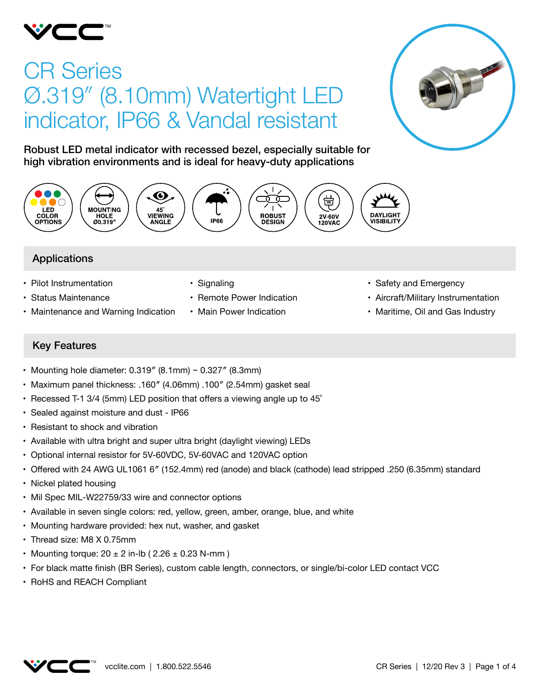

# CR Series Ø.319″ (8.10mm) Watertight LED indicator, IP66 & Vandal resistant



Robust LED metal indicator with recessed bezel, especially suitable for high vibration environments and is ideal for heavy-duty applications



## Applications

- Pilot Instrumentation
- • Status Maintenance
- Maintenance and Warning Indication
- Signaling
- Remote Power Indication
- Main Power Indication
- Safety and Emergency
- Aircraft/Military Instrumentation
- Maritime, Oil and Gas Industry

## Key Features

- Mounting hole diameter:  $0.319''$  (8.1mm) ~  $0.327''$  (8.3mm)
- • Maximum panel thickness: .160″ (4.06mm) .100″ (2.54mm) gasket seal
- Recessed T-1 3/4 (5mm) LED position that offers a viewing angle up to  $45^\circ$
- • Sealed against moisture and dust IP66
- Resistant to shock and vibration
- Available with ultra bright and super ultra bright (daylight viewing) LEDs
- • Optional internal resistor for 5V-60VDC, 5V-60VAC and 120VAC option
- • Offered with 24 AWG UL1061 6″ (152.4mm) red (anode) and black (cathode) lead stripped .250 (6.35mm) standard
- Nickel plated housing
- Mil Spec MIL-W22759/33 wire and connector options
- • Available in seven single colors: red, yellow, green, amber, orange, blue, and white
- Mounting hardware provided: hex nut, washer, and gasket
- Thread size: M8 X 0.75mm
- Mounting torque:  $20 \pm 2$  in-lb (  $2.26 \pm 0.23$  N-mm )
- • For black matte finish (BR Series), custom cable length, connectors, or single/bi-color LED contact VCC
- • RoHS and REACH Compliant

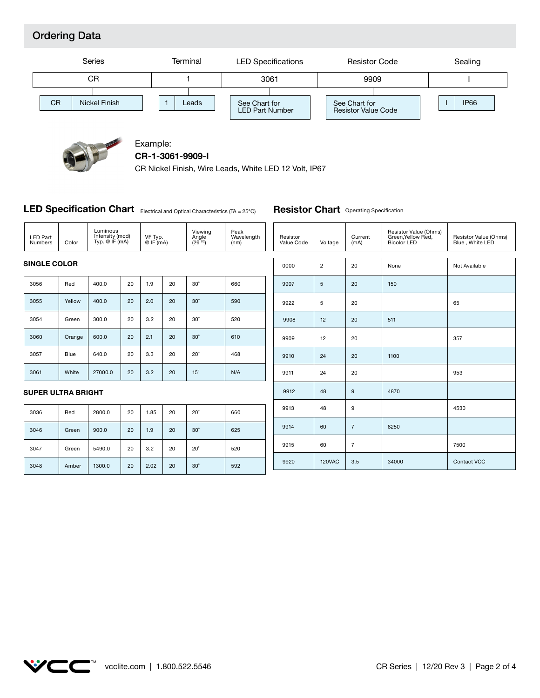## Ordering Data





#### Example: **CR-1-3061-9909-I**

CR Nickel Finish, Wire Leads, White LED 12 Volt, IP67

#### **LED Specification Chart** Electrical and Optical Characteristics (TA = 25°C)

**Resistor Chart** Operating Specification

| <b>LED Part</b><br>Numbers | Color  | Luminous<br>Intensity (mcd)<br>Typ. $@$ IF $(mA)$ |    | VF Typ.<br>@IF(mA) |      | Viewing<br>Angle<br>$(2\theta^{1/2})$ | Peak<br>Wavelength<br>(nm) | Resistor<br>Value Code | Voltage        | Current<br>(mA) | Resistor Value (Ohms)<br>Green, Yellow Red,<br><b>Bicolor LED</b> | Resistor Value (Ohms)<br>Blue, White LED |
|----------------------------|--------|---------------------------------------------------|----|--------------------|------|---------------------------------------|----------------------------|------------------------|----------------|-----------------|-------------------------------------------------------------------|------------------------------------------|
| <b>SINGLE COLOR</b>        |        |                                                   |    |                    |      | 0000                                  | $\overline{c}$             | 20                     | None           | Not Available   |                                                                   |                                          |
| 3056                       | Red    | 400.0                                             | 20 | 1.9                | 20   | $30^\circ$                            | 660                        | 9907                   | $\overline{5}$ | 20              | 150                                                               |                                          |
| 3055                       | Yellow | 400.0                                             | 20 | 2.0                | 20   | $30^\circ$                            | 590                        | 9922                   | 5              | 20              |                                                                   | 65                                       |
| 3054                       | Green  | 300.0                                             | 20 | 3.2                | 20   | $30^\circ$                            | 520                        | 9908                   | 12             | 20              | 511                                                               |                                          |
| 3060                       | Orange | 600.0                                             | 20 | 2.1                | 20   | $30^\circ$                            | 610                        | 9909                   | 12             | 20              |                                                                   | 357                                      |
| 3057                       | Blue   | 640.0                                             | 20 | 3.3                | 20   | $20^\circ$                            | 468                        | 9910                   | 24             | 20              | 1100                                                              |                                          |
| 3061                       | White  | 27000.0                                           | 20 | 3.2                | 20   | $15^\circ$                            | N/A                        | 9911                   | 24             | 20              |                                                                   | 953                                      |
| <b>SUPER ULTRA BRIGHT</b>  |        |                                                   |    |                    | 9912 | 48                                    | 9                          | 4870                   |                |                 |                                                                   |                                          |
| 3036                       | Red    | 2800.0                                            | 20 | 1.85               | 20   | $20^\circ$                            | 660                        | 9913                   | 48             | 9               |                                                                   | 4530                                     |
| 3046                       | Green  | 900.0                                             | 20 | 1.9                | 20   | $30^\circ$                            | 625                        | 9914                   | 60             | $\overline{7}$  | 8250                                                              |                                          |
| 3047                       | Green  | 5490.0                                            | 20 | 3.2                | 20   | $20^{\circ}$                          | 520                        | 9915                   | 60             | $\overline{7}$  |                                                                   | 7500                                     |
| 3048                       | Amber  | 1300.0                                            | 20 | 2.02               | 20   | $30^\circ$                            | 592                        | 9920                   | <b>120VAC</b>  | 3.5             | 34000                                                             | Contact VCC                              |

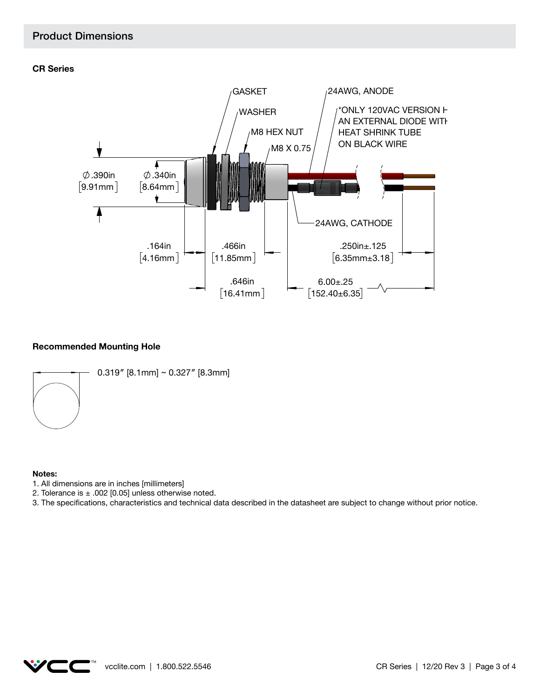#### Product Dimensions





#### **Recommended Mounting Hole**



#### **Notes:**

- 1. All dimensions are in inches [millimeters]
- 2. Tolerance is  $\pm$  .002 [0.05] unless otherwise noted.

3. The specifications, characteristics and technical data described in the datasheet are subject to change without prior notice.